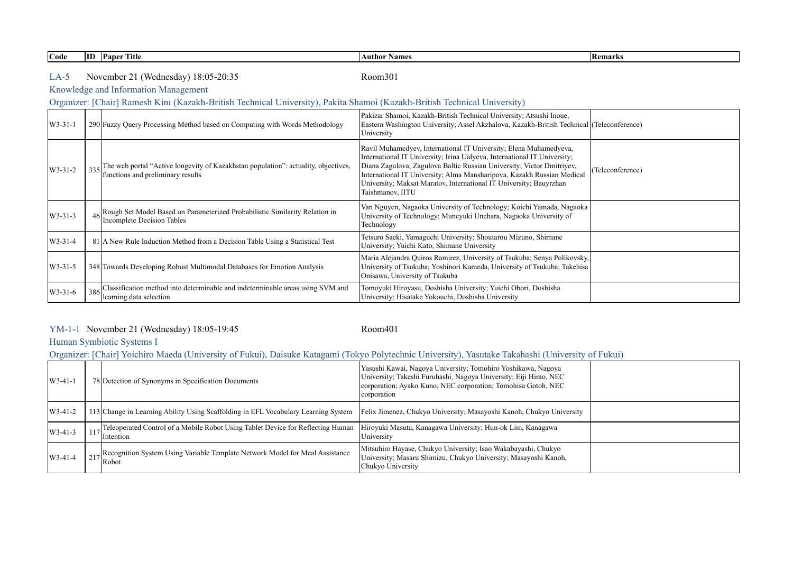| Code          |     | <b>ID</b> Paper Title                                                                                                                                                                                    | <b>Author Names</b>                                                                                                                                                                                                                                                                                                                                                                        | <b>Remarks</b>   |
|---------------|-----|----------------------------------------------------------------------------------------------------------------------------------------------------------------------------------------------------------|--------------------------------------------------------------------------------------------------------------------------------------------------------------------------------------------------------------------------------------------------------------------------------------------------------------------------------------------------------------------------------------------|------------------|
| $LA-5$        |     | November 21 (Wednesday) 18:05-20:35<br>Knowledge and Information Management<br>Organizer: [Chair] Ramesh Kini (Kazakh-British Technical University), Pakita Shamoi (Kazakh-British Technical University) | Room301                                                                                                                                                                                                                                                                                                                                                                                    |                  |
|               |     |                                                                                                                                                                                                          |                                                                                                                                                                                                                                                                                                                                                                                            |                  |
| $W3 - 31 - 1$ |     | 290 Fuzzy Query Processing Method based on Computing with Words Methodology                                                                                                                              | Pakizar Shamoi, Kazakh-British Technical University; Atsushi Inoue,<br>Eastern Washington University; Assel Akzhalova, Kazakh-British Technical (Teleconference)<br>University                                                                                                                                                                                                             |                  |
| $W3 - 31 - 2$ | 335 | The web portal "Active longevity of Kazakhstan population": actuality, objectives,<br>functions and preliminary results                                                                                  | Ravil Muhamedyev, International IT University; Elena Muhamedyeva,<br>International IT University; Irina Ualyeva, International IT University;<br>Diana Zagulova, Zagulova Baltic Russian University; Victor Dmitriyev,<br>International IT University; Alma Mansharipova, Kazakh Russian Medical<br>Jniversity; Maksat Maratov, International IT University; Bauyrzhan<br>Taishmanov, IITU | (Teleconference) |
| $W3 - 31 - 3$ |     | Rough Set Model Based on Parameterized Probabilistic Similarity Relation in<br>Incomplete Decision Tables                                                                                                | Van Nguyen, Nagaoka University of Technology; Koichi Yamada, Nagaoka<br>Jniversity of Technology; Muneyuki Unehara, Nagaoka University of<br>Technology                                                                                                                                                                                                                                    |                  |
| $W3-31-4$     |     | 81 A New Rule Induction Method from a Decision Table Using a Statistical Test                                                                                                                            | Tetsuro Saeki, Yamaguchi University; Shoutarou Mizuno, Shimane<br>University; Yuichi Kato, Shimane University                                                                                                                                                                                                                                                                              |                  |
| $W3 - 31 - 5$ |     | 348 Towards Developing Robust Multimodal Databases for Emotion Analysis                                                                                                                                  | Maria Alejandra Quiros Ramirez, University of Tsukuba; Senya Polikovsky,<br>University of Tsukuba; Yoshinori Kameda, University of Tsukuba; Takehisa<br>Onisawa, University of Tsukuba                                                                                                                                                                                                     |                  |
| W3-31-6       | 386 | Classification method into determinable and indeterminable areas using SVM and<br>learning data selection                                                                                                | Tomoyuki Hiroyasu, Doshisha University; Yuichi Obori, Doshisha<br>University; Hisatake Yokouchi, Doshisha University                                                                                                                                                                                                                                                                       |                  |

┑

## YM-1-1 Room401 November 21 (Wednesday) 18:05-19:45

## Human Symbiotic Systems I

Organizer: [Chair] Yoichiro Maeda (University of Fukui), Daisuke Katagami (Tokyo Polytechnic University), Yasutake Takahashi (University of Fukui)

| $W3-41-1$ | 78 Detection of Synonyms in Specification Documents                                                        | Yasushi Kawai, Nagoya University; Tomohiro Yoshikawa, Nagoya<br>University; Takeshi Furuhashi, Nagoya University; Eiji Hirao, NEC<br>corporation; Ayako Kuno, NEC corporation; Tomohisa Gotoh, NEC<br>corporation |  |
|-----------|------------------------------------------------------------------------------------------------------------|-------------------------------------------------------------------------------------------------------------------------------------------------------------------------------------------------------------------|--|
| $W3-41-2$ | 113 Change in Learning Ability Using Scaffolding in EFL Vocabulary Learning System                         | Felix Jimenez, Chukyo University; Masayoshi Kanoh, Chukyo University                                                                                                                                              |  |
| $W3-41-3$ | <sub>17</sub> Teleoperated Control of a Mobile Robot Using Tablet Device for Reflecting Human<br>Intention | Hiroyuki Masuta, Kanagawa University; Hun-ok Lim, Kanagawa<br>University                                                                                                                                          |  |
| $W3-41-4$ | <sub>17</sub> Recognition System Using Variable Template Network Model for Meal Assistance<br>Robot        | Mitsuhiro Hayase, Chukyo University; Isao Wakabayashi, Chukyo<br>University; Masaru Shimizu, Chukyo University; Masayoshi Kanoh,<br>Chukyo University                                                             |  |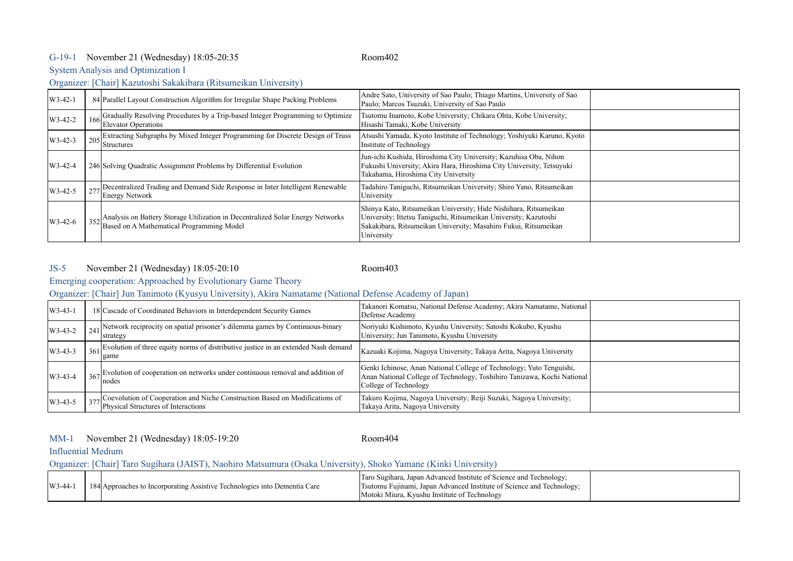## G-19-1 Room402 November 21 (Wednesday) 18:05-20:35

System Analysis and Optimization I

## Organizer: [Chair] Kazutoshi Sakakibara (Ritsumeikan University)

| $W3-42-1$ | 84 Parallel Layout Construction Algorithm for Irregular Shape Packing Problems                                                  | Andre Sato, University of Sao Paulo; Thiago Martins, University of Sao<br>Paulo; Marcos Tsuzuki, University of Sao Paulo                                                                                              |  |
|-----------|---------------------------------------------------------------------------------------------------------------------------------|-----------------------------------------------------------------------------------------------------------------------------------------------------------------------------------------------------------------------|--|
| $W3-42-2$ | 166 Gradually Resolving Procedures by a Trip-based Integer Programming to Optimize<br>Elevator Operations                       | Tsutomu Inamoto, Kobe University; Chikara Ohta, Kobe University;<br>Hisashi Tamaki, Kobe University                                                                                                                   |  |
| $W3-42-3$ | 205 Extracting Subgraphs by Mixed Integer Programming for Discrete Design of Truss<br>Structures                                | Atsushi Yamada, Kyoto Institute of Technology; Yoshiyuki Karuno, Kyoto<br>Institute of Technology                                                                                                                     |  |
| $W3-42-4$ | 246 Solving Quadratic Assignment Problems by Differential Evolution                                                             | Jun-ichi Kushida, Hiroshima City University, Kazuhisa Oba, Nihon<br>Fukushi University; Akira Hara, Hiroshima City University; Tetsuyuki<br>Takahama, Hiroshima City University                                       |  |
| $W3-42-5$ | Decentralized Trading and Demand Side Response in Inter Intelligent Renewable<br><b>Energy Network</b>                          | Tadahiro Taniguchi, Ritsumeikan University; Shiro Yano, Ritsumeikan<br>University                                                                                                                                     |  |
| $W3-42-6$ | 352 Analysis on Battery Storage Utilization in Decentralized Solar Energy Networks<br>Based on A Mathematical Programming Model | Shinya Kato, Ritsumeikan University; Hide Nishihara, Ritsumeikan<br>University; Ittetsu Taniguchi, Ritsumeikan University; Kazutoshi<br>Sakakibara, Ritsumeikan University; Masahiro Fukui, Ritsumeikan<br>University |  |

#### JS-5 Room403 November 21 (Wednesday) 18:05-20:10

Emerging cooperation: Approached by Evolutionary Game Theory

Organizer: [Chair] Jun Tanimoto (Kyusyu University), Akira Namatame (National Defense Academy of Japan)

| $W3-43-1$ | 18 Cascade of Coordinated Behaviors in Interdependent Security Games                                                   | Takanori Komatsu, National Defense Academy; Akira Namatame, National<br>Defense Academy                                                                                  |  |
|-----------|------------------------------------------------------------------------------------------------------------------------|--------------------------------------------------------------------------------------------------------------------------------------------------------------------------|--|
| $W3-43-2$ | $\frac{1}{241}$ Network reciprocity on spatial prisoner's dilemma games by Continuous-binary<br>strategy               | Noriyuki Kishimoto, Kyushu University; Satoshi Kokubo, Kyushu<br>University; Jun Tanimoto, Kyushu University                                                             |  |
| $W3-43-3$ | 361 Evolution of three equity norms of distributive justice in an extended Nash demand<br>game                         | Kazuaki Kojima, Nagoya University; Takaya Arita, Nagoya University                                                                                                       |  |
| $W3-43-4$ | $367$ Evolution of cooperation on networks under continuous removal and addition of<br>nodes                           | Genki Ichinose, Anan National College of Technology; Yuto Tenguishi,<br>Anan National College of Technology; Toshihiro Tanizawa, Kochi National<br>College of Technology |  |
| $W3-43-5$ | 377 Coevolution of Cooperation and Niche Construction Based on Modifications of<br>Physical Structures of Interactions | Takuro Kojima, Nagoya University; Reiji Suzuki, Nagoya University;<br>Takaya Arita, Nagoya University                                                                    |  |

## MM-1 Room404 November 21 (Wednesday) 18:05-19:20

#### Influential Medium

Organizer: [Chair] Taro Sugihara (JAIST), Naohiro Matsumura (Osaka University), Shoko Yamane (Kinki University)

| $\text{W}3-44-$ | 184 Approaches to Incorporating Assistive Technologies into Dementia Care | Taro Sugihara, Japan Advanced Institute of Science and Technology;<br>Tsutomu Fujinami, Japan Advanced Institute of Science and Technology; |  |
|-----------------|---------------------------------------------------------------------------|---------------------------------------------------------------------------------------------------------------------------------------------|--|
|                 |                                                                           | Motoki Miura, Kyushu Institute of Technology                                                                                                |  |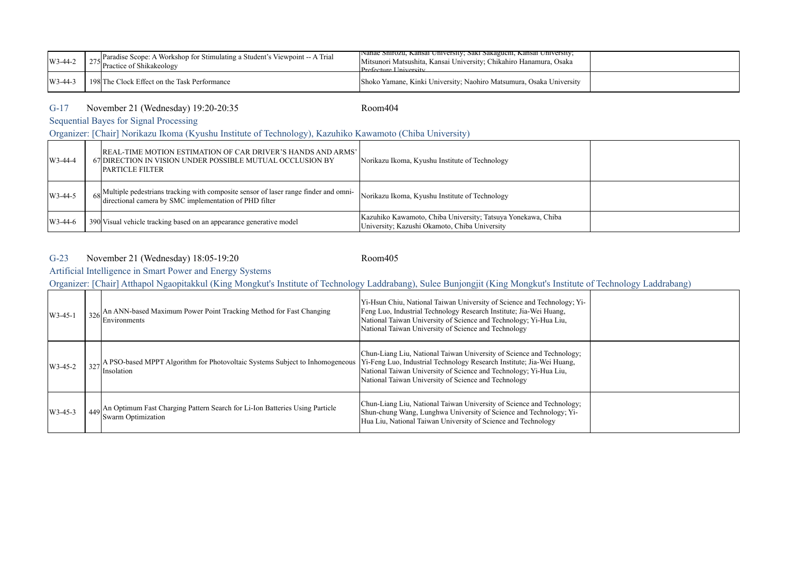| $W3-44-2$        | $_{\alpha z}$ Paradise Scope: A Workshop for Stimulating a Student's Viewpoint -- A Trial<br><sup>275</sup> Practice of Shikakeology | <b>Nanae Shirozu, Kansai University, Saki Sakaguchi, Kansai University,</b><br>Mitsunori Matsushita, Kansai University; Chikahiro Hanamura, Osaka<br>$Prefecture University$ |  |
|------------------|--------------------------------------------------------------------------------------------------------------------------------------|------------------------------------------------------------------------------------------------------------------------------------------------------------------------------|--|
| $\frac{1}{3-44}$ | 198 The Clock Effect on the Task Performance                                                                                         | Shoko Yamane, Kinki University; Naohiro Matsumura, Osaka University                                                                                                          |  |

## G-17 Room404 November 21 (Wednesday) 19:20-20:35

Sequential Bayes for Signal Processing

Organizer: [Chair] Norikazu Ikoma (Kyushu Institute of Technology), Kazuhiko Kawamoto (Chiba University)

| $W3-44-4$ | REAL-TIME MOTION ESTIMATION OF CAR DRIVER'S HANDS AND ARMS'<br>67 DIRECTION IN VISION UNDER POSSIBLE MUTUAL OCCLUSION BY<br><b>IPARTICLE FILTER</b> | Norikazu Ikoma, Kyushu Institute of Technology                                                                |  |
|-----------|-----------------------------------------------------------------------------------------------------------------------------------------------------|---------------------------------------------------------------------------------------------------------------|--|
| $W3-44-5$ | 68 Multiple pedestrians tracking with composite sensor of laser range finder and omni-<br>directional camera by SMC implementation of PHD filter    | Norikazu Ikoma, Kyushu Institute of Technology                                                                |  |
| $W3-44-6$ | 390 Visual vehicle tracking based on an appearance generative model                                                                                 | Kazuhiko Kawamoto, Chiba University; Tatsuya Yonekawa, Chiba<br>University; Kazushi Okamoto, Chiba University |  |

## G-23 Room405 November 21 (Wednesday) 18:05-19:20

Artificial Intelligence in Smart Power and Energy Systems

Organizer: [Chair] Atthapol Ngaopitakkul (King Mongkut's Institute of Technology Laddrabang), Sulee Bunjongjit (King Mongkut's Institute of Technology Laddrabang)

| $W3-45-1$ | $\frac{1}{326}$ An ANN-based Maximum Power Point Tracking Method for Fast Changing<br>Environments                                                                    | Yi-Hsun Chiu, National Taiwan University of Science and Technology, Yi-<br>Feng Luo, Industrial Technology Research Institute; Jia-Wei Huang,<br>National Taiwan University of Science and Technology; Yi-Hua Liu,<br>National Taiwan University of Science and Technology |  |
|-----------|-----------------------------------------------------------------------------------------------------------------------------------------------------------------------|----------------------------------------------------------------------------------------------------------------------------------------------------------------------------------------------------------------------------------------------------------------------------|--|
| $W3-45-2$ | 327 A PSO-based MPPT Algorithm for Photovoltaic Systems Subject to Inhomogeneous  Yi-Feng Luo, Industrial Technology Research Institute; Jia-Wei Huang,<br>Insolation | Chun-Liang Liu, National Taiwan University of Science and Technology;<br>National Taiwan University of Science and Technology; Yi-Hua Liu,<br>National Taiwan University of Science and Technology                                                                         |  |
| $W3-45-3$ | 449 An Optimum Fast Charging Pattern Search for Li-Ion Batteries Using Particle<br>Swarm Optimization                                                                 | Chun-Liang Liu, National Taiwan University of Science and Technology;<br>Shun-chung Wang, Lunghwa University of Science and Technology; Yi-<br>Hua Liu, National Taiwan University of Science and Technology                                                               |  |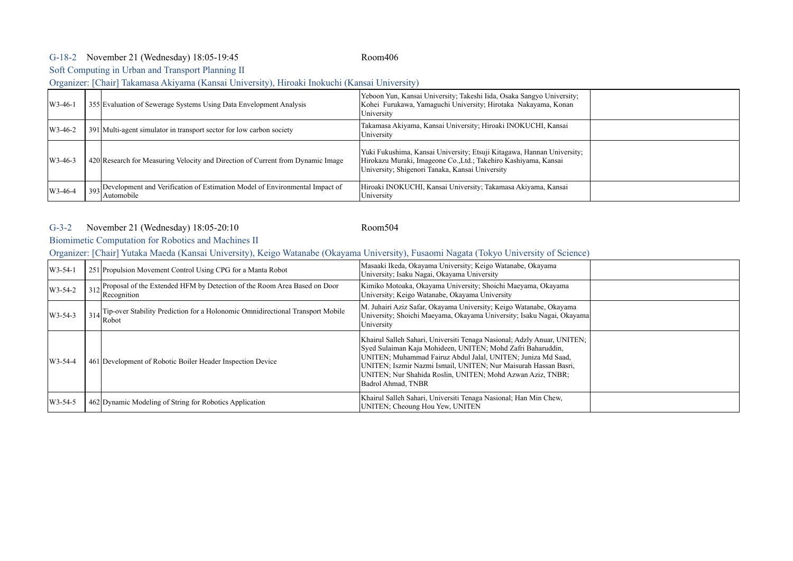## G-18-2 Room406 November 21 (Wednesday) 18:05-19:45

Soft Computing in Urban and Transport Planning II

Organizer: [Chair] Takamasa Akiyama (Kansai University), Hiroaki Inokuchi (Kansai University)

| $W3-46-1$ | 355 Evaluation of Sewerage Systems Using Data Envelopment Analysis                            | Yeboon Yun, Kansai University; Takeshi Iida, Osaka Sangyo University;<br>Kohei Furukawa, Yamaguchi University; Hirotaka Nakayama, Konan<br>University                                        |  |
|-----------|-----------------------------------------------------------------------------------------------|----------------------------------------------------------------------------------------------------------------------------------------------------------------------------------------------|--|
| $W3-46-2$ | 391 Multi-agent simulator in transport sector for low carbon society                          | Takamasa Akiyama, Kansai University; Hiroaki INOKUCHI, Kansai<br>University                                                                                                                  |  |
| $W3-46-3$ | 420 Research for Measuring Velocity and Direction of Current from Dynamic Image               | Yuki Fukushima, Kansai University; Etsuji Kitagawa, Hannan University;<br>Hirokazu Muraki, Imageone Co., Ltd.; Takehiro Kashiyama, Kansai<br>University; Shigenori Tanaka, Kansai University |  |
| $W3-46-4$ | 393 Development and Verification of Estimation Model of Environmental Impact of<br>Automobile | Hiroaki INOKUCHI, Kansai University; Takamasa Akiyama, Kansai<br>University                                                                                                                  |  |

## G-3-2 Room504 November 21 (Wednesday) 18:05-20:10

# Biomimetic Computation for Robotics and Machines II

## Organizer: [Chair] Yutaka Maeda (Kansai University), Keigo Watanabe (Okayama University), Fusaomi Nagata (Tokyo University of Science)

| $W3-54-1$ | 251 Propulsion Movement Control Using CPG for a Manta Robot                                        | Masaaki Ikeda, Okayama University; Keigo Watanabe, Okayama<br>University; Isaku Nagai, Okayama University                                                                                                                                                                                                                                                     |  |
|-----------|----------------------------------------------------------------------------------------------------|---------------------------------------------------------------------------------------------------------------------------------------------------------------------------------------------------------------------------------------------------------------------------------------------------------------------------------------------------------------|--|
| $W3-54-2$ | 312 Proposal of the Extended HFM by Detection of the Room Area Based on Door<br>Recognition        | Kimiko Motoaka, Okayama University; Shoichi Maeyama, Okayama<br>University; Keigo Watanabe, Okayama University                                                                                                                                                                                                                                                |  |
| $W3-54-3$ | 314 Tip-over Stability Prediction for a Holonomic Omnidirectional Transport Mobile<br><b>Robot</b> | M. Juhairi Aziz Safar, Okayama University; Keigo Watanabe, Okayama<br>University; Shoichi Maeyama, Okayama University; Isaku Nagai, Okayama<br>University                                                                                                                                                                                                     |  |
| $W3-54-4$ | 461 Development of Robotic Boiler Header Inspection Device                                         | Khairul Salleh Sahari, Universiti Tenaga Nasional; Adzly Anuar, UNITEN;<br>Syed Sulaiman Kaja Mohideen, UNITEN; Mohd Zafri Baharuddin,<br>UNITEN; Muhammad Fairuz Abdul Jalal, UNITEN; Juniza Md Saad,<br>UNITEN; Iszmir Nazmi Ismail, UNITEN; Nur Maisurah Hassan Basri,<br>UNITEN; Nur Shahida Roslin, UNITEN; Mohd Azwan Aziz, TNBR;<br>Badrol Ahmad, TNBR |  |
| $W3-54-5$ | 462 Dynamic Modeling of String for Robotics Application                                            | Khairul Salleh Sahari, Universiti Tenaga Nasional; Han Min Chew,<br>UNITEN; Cheoung Hou Yew, UNITEN                                                                                                                                                                                                                                                           |  |